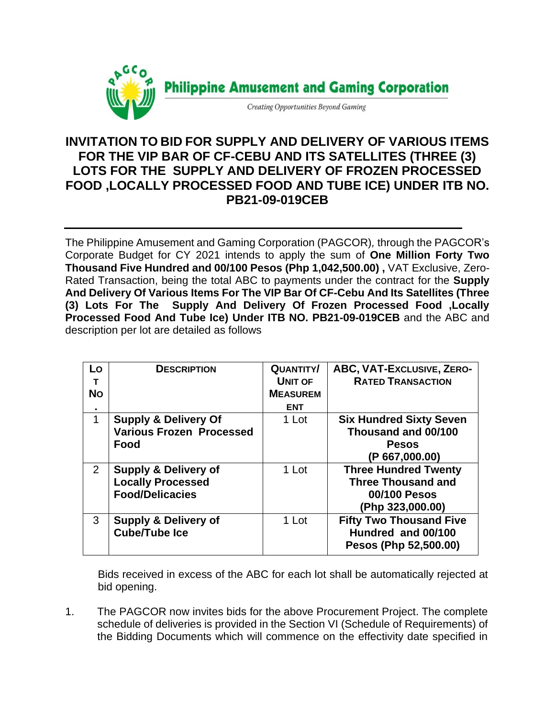

## **INVITATION TO BID FOR SUPPLY AND DELIVERY OF VARIOUS ITEMS FOR THE VIP BAR OF CF-CEBU AND ITS SATELLITES (THREE (3) LOTS FOR THE SUPPLY AND DELIVERY OF FROZEN PROCESSED FOOD ,LOCALLY PROCESSED FOOD AND TUBE ICE) UNDER ITB NO. PB21-09-019CEB**

The Philippine Amusement and Gaming Corporation (PAGCOR)*,* through the PAGCOR's Corporate Budget for CY 2021 intends to apply the sum of **One Million Forty Two Thousand Five Hundred and 00/100 Pesos (Php 1,042,500.00) ,** VAT Exclusive, Zero-Rated Transaction, being the total ABC to payments under the contract for the **Supply And Delivery Of Various Items For The VIP Bar Of CF-Cebu And Its Satellites (Three (3) Lots For The Supply And Delivery Of Frozen Processed Food ,Locally Processed Food And Tube Ice) Under ITB NO. PB21-09-019CEB** and the ABC and description per lot are detailed as follows

| Lo<br>т<br><b>No</b><br>٠ | <b>DESCRIPTION</b>                                                                    | <b>QUANTITY/</b><br><b>UNIT OF</b><br><b>MEASUREM</b><br><b>ENT</b> | ABC, VAT-Exclusive, ZERO-<br><b>RATED TRANSACTION</b>                                        |
|---------------------------|---------------------------------------------------------------------------------------|---------------------------------------------------------------------|----------------------------------------------------------------------------------------------|
| 1                         | <b>Supply &amp; Delivery Of</b><br><b>Various Frozen Processed</b><br>Food            | 1 Lot                                                               | <b>Six Hundred Sixty Seven</b><br>Thousand and 00/100<br><b>Pesos</b><br>(P 667,000.00)      |
| $\overline{2}$            | <b>Supply &amp; Delivery of</b><br><b>Locally Processed</b><br><b>Food/Delicacies</b> | 1 Lot                                                               | <b>Three Hundred Twenty</b><br><b>Three Thousand and</b><br>00/100 Pesos<br>(Php 323,000.00) |
| 3                         | <b>Supply &amp; Delivery of</b><br><b>Cube/Tube Ice</b>                               | 1 Lot                                                               | <b>Fifty Two Thousand Five</b><br>Hundred and 00/100<br>Pesos (Php 52,500.00)                |

Bids received in excess of the ABC for each lot shall be automatically rejected at bid opening.

1. The PAGCOR now invites bids for the above Procurement Project. The complete schedule of deliveries is provided in the Section VI (Schedule of Requirements) of the Bidding Documents which will commence on the effectivity date specified in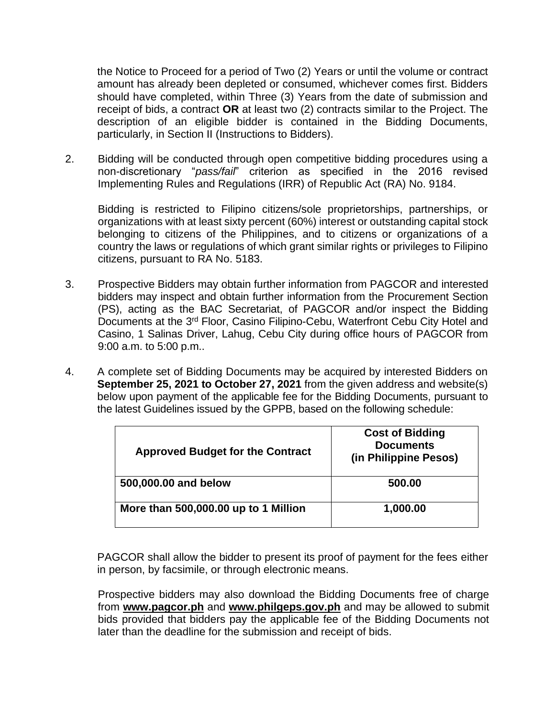the Notice to Proceed for a period of Two (2) Years or until the volume or contract amount has already been depleted or consumed, whichever comes first. Bidders should have completed, within Three (3) Years from the date of submission and receipt of bids, a contract **OR** at least two (2) contracts similar to the Project. The description of an eligible bidder is contained in the Bidding Documents, particularly, in Section II (Instructions to Bidders).

2. Bidding will be conducted through open competitive bidding procedures using a non-discretionary "*pass/fail*" criterion as specified in the 2016 revised Implementing Rules and Regulations (IRR) of Republic Act (RA) No. 9184.

Bidding is restricted to Filipino citizens/sole proprietorships, partnerships, or organizations with at least sixty percent (60%) interest or outstanding capital stock belonging to citizens of the Philippines, and to citizens or organizations of a country the laws or regulations of which grant similar rights or privileges to Filipino citizens, pursuant to RA No. 5183.

- 3. Prospective Bidders may obtain further information from PAGCOR and interested bidders may inspect and obtain further information from the Procurement Section (PS), acting as the BAC Secretariat, of PAGCOR and/or inspect the Bidding Documents at the 3<sup>rd</sup> Floor, Casino Filipino-Cebu, Waterfront Cebu City Hotel and Casino, 1 Salinas Driver, Lahug, Cebu City during office hours of PAGCOR from 9:00 a.m. to 5:00 p.m..
- 4. A complete set of Bidding Documents may be acquired by interested Bidders on **September 25, 2021 to October 27, 2021** from the given address and website(s) below upon payment of the applicable fee for the Bidding Documents, pursuant to the latest Guidelines issued by the GPPB, based on the following schedule:

| <b>Approved Budget for the Contract</b> | <b>Cost of Bidding</b><br><b>Documents</b><br>(in Philippine Pesos) |
|-----------------------------------------|---------------------------------------------------------------------|
| 500,000.00 and below                    | 500.00                                                              |
| More than 500,000.00 up to 1 Million    | 1,000.00                                                            |

PAGCOR shall allow the bidder to present its proof of payment for the fees either in person, by facsimile, or through electronic means.

Prospective bidders may also download the Bidding Documents free of charge from **[www.pagcor.ph](http://www.pagcor.ph/)** and **www.philgeps.gov.ph** and may be allowed to submit bids provided that bidders pay the applicable fee of the Bidding Documents not later than the deadline for the submission and receipt of bids.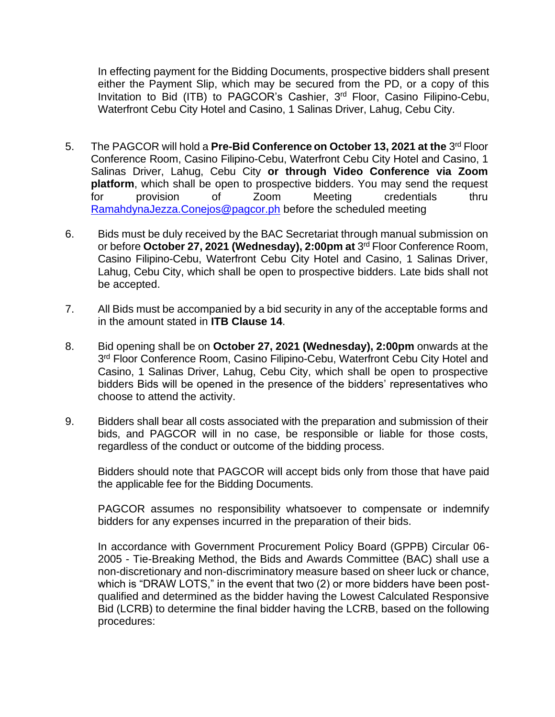In effecting payment for the Bidding Documents, prospective bidders shall present either the Payment Slip, which may be secured from the PD, or a copy of this Invitation to Bid (ITB) to PAGCOR's Cashier, 3<sup>rd</sup> Floor, Casino Filipino-Cebu, Waterfront Cebu City Hotel and Casino, 1 Salinas Driver, Lahug, Cebu City.

- 5. The PAGCOR will hold a Pre-Bid Conference on October 13, 2021 at the 3<sup>rd</sup> Floor Conference Room, Casino Filipino-Cebu, Waterfront Cebu City Hotel and Casino, 1 Salinas Driver, Lahug, Cebu City **or through Video Conference via Zoom platform**, which shall be open to prospective bidders. You may send the request for provision of Zoom Meeting credentials thru [RamahdynaJezza.Conejos@pagcor.ph](mailto:RamahdynaJezza.Conejos@pagcor.ph) before the scheduled meeting
- 6. Bids must be duly received by the BAC Secretariat through manual submission on or before **October 27, 2021 (Wednesday), 2:00pm at** 3 rd Floor Conference Room, Casino Filipino-Cebu, Waterfront Cebu City Hotel and Casino, 1 Salinas Driver, Lahug, Cebu City, which shall be open to prospective bidders. Late bids shall not be accepted.
- 7. All Bids must be accompanied by a bid security in any of the acceptable forms and in the amount stated in **ITB Clause 14**.
- 8. Bid opening shall be on **October 27, 2021 (Wednesday), 2:00pm** onwards at the 3<sup>rd</sup> Floor Conference Room, Casino Filipino-Cebu, Waterfront Cebu City Hotel and Casino, 1 Salinas Driver, Lahug, Cebu City, which shall be open to prospective bidders Bids will be opened in the presence of the bidders' representatives who choose to attend the activity.
- 9. Bidders shall bear all costs associated with the preparation and submission of their bids, and PAGCOR will in no case, be responsible or liable for those costs, regardless of the conduct or outcome of the bidding process.

Bidders should note that PAGCOR will accept bids only from those that have paid the applicable fee for the Bidding Documents.

PAGCOR assumes no responsibility whatsoever to compensate or indemnify bidders for any expenses incurred in the preparation of their bids.

In accordance with Government Procurement Policy Board (GPPB) Circular 06- 2005 - Tie-Breaking Method, the Bids and Awards Committee (BAC) shall use a non-discretionary and non-discriminatory measure based on sheer luck or chance, which is "DRAW LOTS," in the event that two (2) or more bidders have been postqualified and determined as the bidder having the Lowest Calculated Responsive Bid (LCRB) to determine the final bidder having the LCRB, based on the following procedures: